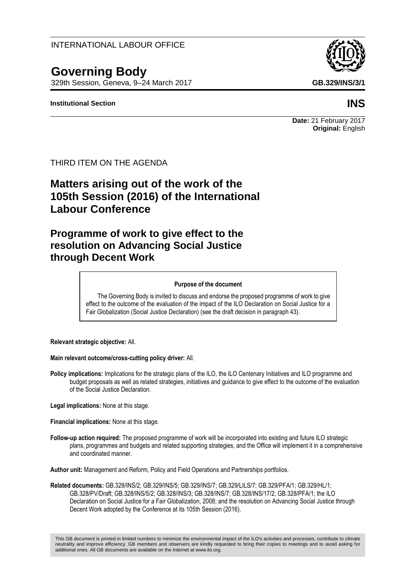INTERNATIONAL LABOUR OFFICE

# **Governing Body**

329th Session, Geneva, 9–24 March 2017 **GB.329/INS/3/1**

#### **Institutional Section INS**

**Date:** 21 February 2017 **Original:** English

THIRD ITEM ON THE AGENDA

# **Matters arising out of the work of the 105th Session (2016) of the International Labour Conference**

# **Programme of work to give effect to the resolution on Advancing Social Justice through Decent Work**

#### **Purpose of the document**

The Governing Body is invited to discuss and endorse the proposed programme of work to give effect to the outcome of the evaluation of the impact of the ILO Declaration on Social Justice for a Fair Globalization (Social Justice Declaration) (see the draft decision in paragraph 43).

**Relevant strategic objective:** All.

**Main relevant outcome/cross-cutting policy driver:** All.

**Policy implications:** Implications for the strategic plans of the ILO, the ILO Centenary Initiatives and ILO programme and budget proposals as well as related strategies, initiatives and guidance to give effect to the outcome of the evaluation of the Social Justice Declaration.

**Legal implications:** None at this stage.

**Financial implications:** None at this stage.

**Follow-up action required:** The proposed programme of work will be incorporated into existing and future ILO strategic plans, programmes and budgets and related supporting strategies, and the Office will implement it in a comprehensive and coordinated manner.

**Author unit:** Management and Reform, Policy and Field Operations and Partnerships portfolios.

**Related documents:** GB.329/INS/2; GB.329/INS/5; GB.329/INS/7; GB.329/LILS/7; GB.329/PFA/1; GB.329/HL/1; GB.328/PV/Draft; GB.328/INS/5/2; GB.328/INS/3; GB.328/INS/7; GB.328/INS/17/2; GB.328/PFA/1; the ILO Declaration on Social Justice for a Fair Globalization, 2008; and the resolution on Advancing Social Justice through Decent Work adopted by the Conference at its 105th Session (2016).

This GB document is printed in limited numbers to minimize the environmental impact of the ILO's activities and processes, contribute to climate neutrality and improve efficiency. GB members and observers are kindly requested to bring their copies to meetings and to avoid asking for additional ones. All GB documents are available on the Internet at www.ilo.org.

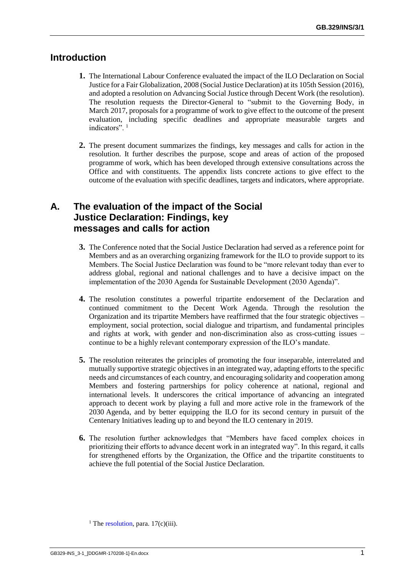## **Introduction**

- **1.** The International Labour Conference evaluated the impact of the ILO Declaration on Social Justice for a Fair Globalization, 2008 (Social Justice Declaration) at its 105th Session (2016), and adopted a resolution on Advancing Social Justice through Decent Work (the resolution). The resolution requests the Director-General to "submit to the Governing Body, in March 2017, proposals for a programme of work to give effect to the outcome of the present evaluation, including specific deadlines and appropriate measurable targets and indicators"<sup>1</sup>
- **2.** The present document summarizes the findings, key messages and calls for action in the resolution. It further describes the purpose, scope and areas of action of the proposed programme of work, which has been developed through extensive consultations across the Office and with constituents. The appendix lists concrete actions to give effect to the outcome of the evaluation with specific deadlines, targets and indicators, where appropriate.

# **A. The evaluation of the impact of the Social Justice Declaration: Findings, key messages and calls for action**

- **3.** The Conference noted that the Social Justice Declaration had served as a reference point for Members and as an overarching organizing framework for the ILO to provide support to its Members. The Social Justice Declaration was found to be "more relevant today than ever to address global, regional and national challenges and to have a decisive impact on the implementation of the 2030 Agenda for Sustainable Development (2030 Agenda)".
- **4.** The resolution constitutes a powerful tripartite endorsement of the Declaration and continued commitment to the Decent Work Agenda. Through the resolution the Organization and its tripartite Members have reaffirmed that the four strategic objectives – employment, social protection, social dialogue and tripartism, and fundamental principles and rights at work, with gender and non-discrimination also as cross-cutting issues – continue to be a highly relevant contemporary expression of the ILO's mandate.
- **5.** The resolution reiterates the principles of promoting the four inseparable, interrelated and mutually supportive strategic objectives in an integrated way, adapting efforts to the specific needs and circumstances of each country, and encouraging solidarity and cooperation among Members and fostering partnerships for policy coherence at national, regional and international levels. It underscores the critical importance of advancing an integrated approach to decent work by playing a full and more active role in the framework of the 2030 Agenda, and by better equipping the ILO for its second century in pursuit of the Centenary Initiatives leading up to and beyond the ILO centenary in 2019.
- **6.** The resolution further acknowledges that "Members have faced complex choices in prioritizing their efforts to advance decent work in an integrated way". In this regard, it calls for strengthened efforts by the Organization, the Office and the tripartite constituents to achieve the full potential of the Social Justice Declaration.

<sup>&</sup>lt;sup>1</sup> The [resolution,](http://www.ilo.org/wcmsp5/groups/public/---ed_norm/---relconf/documents/meetingdocument/wcms_497583.pdf) para.  $17(c)(iii)$ .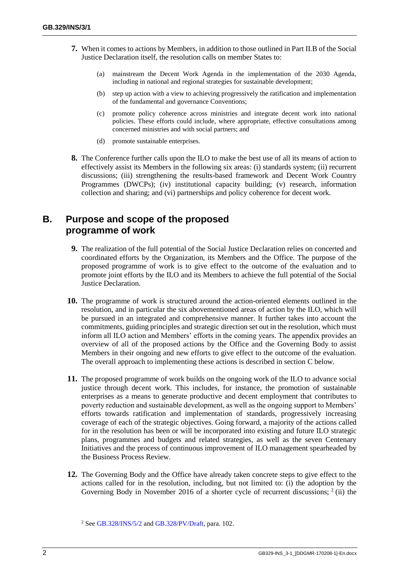- **7.** When it comes to actions by Members, in addition to those outlined in Part II.B of the Social Justice Declaration itself, the resolution calls on member States to:
	- (a) mainstream the Decent Work Agenda in the implementation of the 2030 Agenda, including in national and regional strategies for sustainable development;
	- (b) step up action with a view to achieving progressively the ratification and implementation of the fundamental and governance Conventions;
	- (c) promote policy coherence across ministries and integrate decent work into national policies. These efforts could include, where appropriate, effective consultations among concerned ministries and with social partners; and
	- (d) promote sustainable enterprises.
- **8.** The Conference further calls upon the ILO to make the best use of all its means of action to effectively assist its Members in the following six areas: (i) standards system; (ii) recurrent discussions; (iii) strengthening the results-based framework and Decent Work Country Programmes (DWCPs); (iv) institutional capacity building; (v) research, information collection and sharing; and (vi) partnerships and policy coherence for decent work.

## **B. Purpose and scope of the proposed programme of work**

- **9.** The realization of the full potential of the Social Justice Declaration relies on concerted and coordinated efforts by the Organization, its Members and the Office. The purpose of the proposed programme of work is to give effect to the outcome of the evaluation and to promote joint efforts by the ILO and its Members to achieve the full potential of the Social Justice Declaration.
- **10.** The programme of work is structured around the action-oriented elements outlined in the resolution, and in particular the six abovementioned areas of action by the ILO, which will be pursued in an integrated and comprehensive manner. It further takes into account the commitments, guiding principles and strategic direction set out in the resolution, which must inform all ILO action and Members' efforts in the coming years. The appendix provides an overview of all of the proposed actions by the Office and the Governing Body to assist Members in their ongoing and new efforts to give effect to the outcome of the evaluation. The overall approach to implementing these actions is described in section C below.
- **11.** The proposed programme of work builds on the ongoing work of the ILO to advance social justice through decent work. This includes, for instance, the promotion of sustainable enterprises as a means to generate productive and decent employment that contributes to poverty reduction and sustainable development, as well as the ongoing support to Members' efforts towards ratification and implementation of standards, progressively increasing coverage of each of the strategic objectives. Going forward, a majority of the actions called for in the resolution has been or will be incorporated into existing and future ILO strategic plans, programmes and budgets and related strategies, as well as the seven Centenary Initiatives and the process of continuous improvement of ILO management spearheaded by the Business Process Review.
- **12.** The Governing Body and the Office have already taken concrete steps to give effect to the actions called for in the resolution, including, but not limited to: (i) the adoption by the Governing Body in November 2016 of a shorter cycle of recurrent discussions;  $2$  (ii) the

<sup>&</sup>lt;sup>2</sup> Se[e GB.328/INS/5/2](http://www.ilo.org/wcmsp5/groups/public/---ed_norm/---relconf/documents/meetingdocument/wcms_531408.pdf) and [GB.328/PV/Draft,](http://www.ilo.org/wcmsp5/groups/public/---ed_norm/---relconf/documents/meetingdocument/wcms_543114.pdf) para. 102.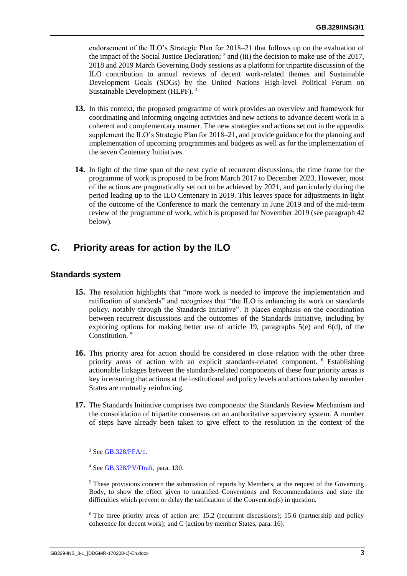endorsement of the ILO's Strategic Plan for 2018–21 that follows up on the evaluation of the impact of the Social Justice Declaration;  $3$  and (iii) the decision to make use of the 2017, 2018 and 2019 March Governing Body sessions as a platform for tripartite discussion of the ILO contribution to annual reviews of decent work-related themes and Sustainable Development Goals (SDGs) by the United Nations High-level Political Forum on Sustainable Development (HLPF). <sup>4</sup>

- **13.** In this context, the proposed programme of work provides an overview and framework for coordinating and informing ongoing activities and new actions to advance decent work in a coherent and complementary manner. The new strategies and actions set out in the appendix supplement the ILO's Strategic Plan for 2018–21, and provide guidance for the planning and implementation of upcoming programmes and budgets as well as for the implementation of the seven Centenary Initiatives.
- **14.** In light of the time span of the next cycle of recurrent discussions, the time frame for the programme of work is proposed to be from March 2017 to December 2023. However, most of the actions are pragmatically set out to be achieved by 2021, and particularly during the period leading up to the ILO Centenary in 2019. This leaves space for adjustments in light of the outcome of the Conference to mark the centenary in June 2019 and of the mid-term review of the programme of work, which is proposed for November 2019 (see paragraph 42 below).

# **C. Priority areas for action by the ILO**

#### **Standards system**

- **15.** The resolution highlights that "more work is needed to improve the implementation and ratification of standards" and recognizes that "the ILO is enhancing its work on standards policy, notably through the Standards Initiative". It places emphasis on the coordination between recurrent discussions and the outcomes of the Standards Initiative, including by exploring options for making better use of article 19, paragraphs  $5(e)$  and  $6(d)$ , of the Constitution.<sup>5</sup>
- **16.** This priority area for action should be considered in close relation with the other three priority areas of action with an explicit standards-related component. <sup>6</sup> Establishing actionable linkages between the standards-related components of these four priority areas is key in ensuring that actions at the institutional and policy levels and actions taken by member States are mutually reinforcing.
- **17.** The Standards Initiative comprises two components: the Standards Review Mechanism and the consolidation of tripartite consensus on an authoritative supervisory system. A number of steps have already been taken to give effect to the resolution in the context of the

<sup>3</sup> See [GB.328/PFA/1.](http://www.ilo.org/wcmsp5/groups/public/---ed_norm/---relconf/documents/meetingdocument/wcms_531677.pdf)

<sup>5</sup> These provisions concern the submission of reports by Members, at the request of the Governing Body, to show the effect given to unratified Conventions and Recommendations and state the difficulties which prevent or delay the ratification of the Convention(s) in question.

<sup>6</sup> The three priority areas of action are: 15.2 (recurrent discussions); 15.6 (partnership and policy coherence for decent work); and C (action by member States, para. 16).

<sup>4</sup> See [GB.328/PV/Draft,](http://www.ilo.org/wcmsp5/groups/public/---ed_norm/---relconf/documents/meetingdocument/wcms_543114.pdf) para. 130.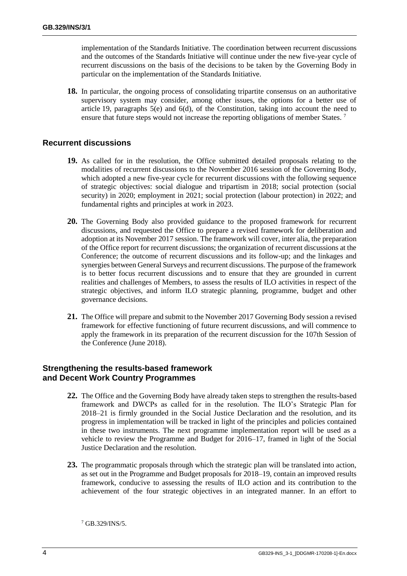implementation of the Standards Initiative. The coordination between recurrent discussions and the outcomes of the Standards Initiative will continue under the new five-year cycle of recurrent discussions on the basis of the decisions to be taken by the Governing Body in particular on the implementation of the Standards Initiative.

**18.** In particular, the ongoing process of consolidating tripartite consensus on an authoritative supervisory system may consider, among other issues, the options for a better use of article 19, paragraphs 5(e) and 6(d), of the Constitution, taking into account the need to ensure that future steps would not increase the reporting obligations of member States.<sup>7</sup>

#### **Recurrent discussions**

- **19.** As called for in the resolution, the Office submitted detailed proposals relating to the modalities of recurrent discussions to the November 2016 session of the Governing Body, which adopted a new five-year cycle for recurrent discussions with the following sequence of strategic objectives: social dialogue and tripartism in 2018; social protection (social security) in 2020; employment in 2021; social protection (labour protection) in 2022; and fundamental rights and principles at work in 2023.
- **20.** The Governing Body also provided guidance to the proposed framework for recurrent discussions, and requested the Office to prepare a revised framework for deliberation and adoption at its November 2017 session. The framework will cover, inter alia, the preparation of the Office report for recurrent discussions; the organization of recurrent discussions at the Conference; the outcome of recurrent discussions and its follow-up; and the linkages and synergies between General Surveys and recurrent discussions. The purpose of the framework is to better focus recurrent discussions and to ensure that they are grounded in current realities and challenges of Members, to assess the results of ILO activities in respect of the strategic objectives, and inform ILO strategic planning, programme, budget and other governance decisions.
- **21.** The Office will prepare and submit to the November 2017 Governing Body session a revised framework for effective functioning of future recurrent discussions, and will commence to apply the framework in its preparation of the recurrent discussion for the 107th Session of the Conference (June 2018).

#### **Strengthening the results-based framework and Decent Work Country Programmes**

- **22.** The Office and the Governing Body have already taken steps to strengthen the results-based framework and DWCPs as called for in the resolution. The ILO's Strategic Plan for 2018–21 is firmly grounded in the Social Justice Declaration and the resolution, and its progress in implementation will be tracked in light of the principles and policies contained in these two instruments. The next programme implementation report will be used as a vehicle to review the Programme and Budget for 2016–17, framed in light of the Social Justice Declaration and the resolution.
- **23.** The programmatic proposals through which the strategic plan will be translated into action, as set out in the Programme and Budget proposals for 2018–19, contain an improved results framework, conducive to assessing the results of ILO action and its contribution to the achievement of the four strategic objectives in an integrated manner. In an effort to

<sup>7</sup> GB.329/INS/5.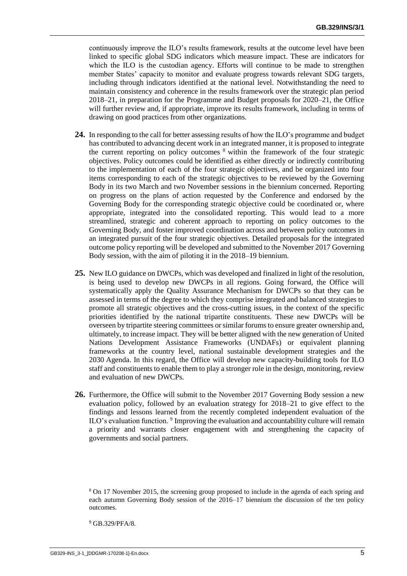continuously improve the ILO's results framework, results at the outcome level have been linked to specific global SDG indicators which measure impact. These are indicators for which the ILO is the custodian agency. Efforts will continue to be made to strengthen member States' capacity to monitor and evaluate progress towards relevant SDG targets, including through indicators identified at the national level. Notwithstanding the need to maintain consistency and coherence in the results framework over the strategic plan period 2018–21, in preparation for the Programme and Budget proposals for 2020–21, the Office will further review and, if appropriate, improve its results framework, including in terms of drawing on good practices from other organizations.

- **24.** In responding to the call for better assessing results of how the ILO's programme and budget has contributed to advancing decent work in an integrated manner, it is proposed to integrate the current reporting on policy outcomes  $\delta$  within the framework of the four strategic objectives. Policy outcomes could be identified as either directly or indirectly contributing to the implementation of each of the four strategic objectives, and be organized into four items corresponding to each of the strategic objectives to be reviewed by the Governing Body in its two March and two November sessions in the biennium concerned. Reporting on progress on the plans of action requested by the Conference and endorsed by the Governing Body for the corresponding strategic objective could be coordinated or, where appropriate, integrated into the consolidated reporting. This would lead to a more streamlined, strategic and coherent approach to reporting on policy outcomes to the Governing Body, and foster improved coordination across and between policy outcomes in an integrated pursuit of the four strategic objectives. Detailed proposals for the integrated outcome policy reporting will be developed and submitted to the November 2017 Governing Body session, with the aim of piloting it in the 2018–19 biennium.
- **25.** New ILO guidance on DWCPs, which was developed and finalized in light of the resolution, is being used to develop new DWCPs in all regions. Going forward, the Office will systematically apply the Quality Assurance Mechanism for DWCPs so that they can be assessed in terms of the degree to which they comprise integrated and balanced strategies to promote all strategic objectives and the cross-cutting issues, in the context of the specific priorities identified by the national tripartite constituents. These new DWCPs will be overseen by tripartite steering committees or similar forums to ensure greater ownership and, ultimately, to increase impact. They will be better aligned with the new generation of United Nations Development Assistance Frameworks (UNDAFs) or equivalent planning frameworks at the country level, national sustainable development strategies and the 2030 Agenda. In this regard, the Office will develop new capacity-building tools for ILO staff and constituents to enable them to play a stronger role in the design, monitoring, review and evaluation of new DWCPs.
- **26.** Furthermore, the Office will submit to the November 2017 Governing Body session a new evaluation policy, followed by an evaluation strategy for 2018–21 to give effect to the findings and lessons learned from the recently completed independent evaluation of the ILO's evaluation function. <sup>9</sup> Improving the evaluation and accountability culture will remain a priority and warrants closer engagement with and strengthening the capacity of governments and social partners.

<sup>9</sup> GB.329/PFA/8.

<sup>8</sup> On 17 November 2015, the screening group proposed to include in the agenda of each spring and each autumn Governing Body session of the 2016–17 biennium the discussion of the ten policy outcomes.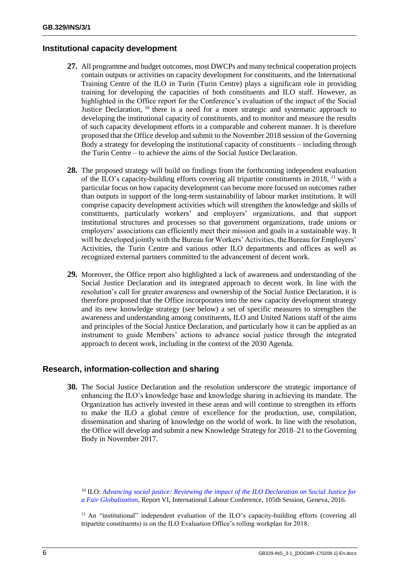#### **Institutional capacity development**

- **27.** All programme and budget outcomes, most DWCPs and many technical cooperation projects contain outputs or activities on capacity development for constituents, and the International Training Centre of the ILO in Turin (Turin Centre) plays a significant role in providing training for developing the capacities of both constituents and ILO staff. However, as highlighted in the Office report for the Conference's evaluation of the impact of the Social Justice Declaration, <sup>10</sup> there is a need for a more strategic and systematic approach to developing the institutional capacity of constituents, and to monitor and measure the results of such capacity development efforts in a comparable and coherent manner. It is therefore proposed that the Office develop and submit to the November 2018 session of the Governing Body a strategy for developing the institutional capacity of constituents – including through the Turin Centre – to achieve the aims of the Social Justice Declaration.
- **28.** The proposed strategy will build on findings from the forthcoming independent evaluation of the ILO's capacity-building efforts covering all tripartite constituents in 2018, <sup>11</sup> with a particular focus on how capacity development can become more focused on outcomes rather than outputs in support of the long-term sustainability of labour market institutions. It will comprise capacity development activities which will strengthen the knowledge and skills of constituents, particularly workers' and employers' organizations, and that support institutional structures and processes so that government organizations, trade unions or employers' associations can efficiently meet their mission and goals in a sustainable way. It will be developed jointly with the Bureau for Workers' Activities, the Bureau for Employers' Activities, the Turin Centre and various other ILO departments and offices as well as recognized external partners committed to the advancement of decent work.
- **29.** Moreover, the Office report also highlighted a lack of awareness and understanding of the Social Justice Declaration and its integrated approach to decent work. In line with the resolution's call for greater awareness and ownership of the Social Justice Declaration, it is therefore proposed that the Office incorporates into the new capacity development strategy and its new knowledge strategy (see below) a set of specific measures to strengthen the awareness and understanding among constituents, ILO and United Nations staff of the aims and principles of the Social Justice Declaration, and particularly how it can be applied as an instrument to guide Members' actions to advance social justice through the integrated approach to decent work, including in the context of the 2030 Agenda.

### **Research, information-collection and sharing**

**30.** The Social Justice Declaration and the resolution underscore the strategic importance of enhancing the ILO's knowledge base and knowledge sharing in achieving its mandate. The Organization has actively invested in these areas and will continue to strengthen its efforts to make the ILO a global centre of excellence for the production, use, compilation, dissemination and sharing of knowledge on the world of work. In line with the resolution, the Office will develop and submit a new Knowledge Strategy for 2018–21 to the Governing Body in November 2017.

<sup>10</sup> ILO: *[Advancing social justice: Reviewing the impact of the ILO Declaration on Social Justice for](http://www.ilo.org/wcmsp5/groups/public/---ed_norm/---relconf/documents/meetingdocument/wcms_465464.pdf)  [a Fair Globalization](http://www.ilo.org/wcmsp5/groups/public/---ed_norm/---relconf/documents/meetingdocument/wcms_465464.pdf)*, Report VI, International Labour Conference, 105th Session, Geneva, 2016.

<sup>11</sup> An "institutional" independent evaluation of the ILO's capacity-building efforts (covering all tripartite constituents) is on the ILO Evaluation Office's rolling workplan for 2018.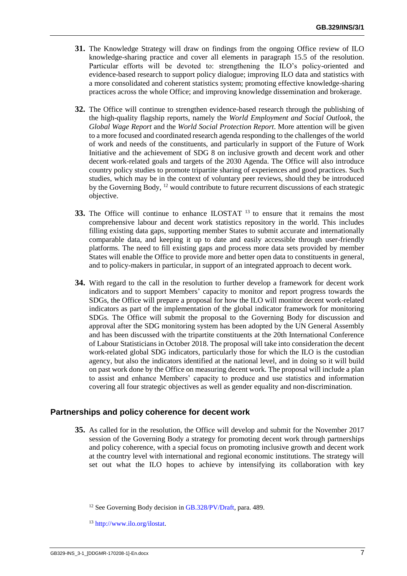- **31.** The Knowledge Strategy will draw on findings from the ongoing Office review of ILO knowledge-sharing practice and cover all elements in paragraph 15.5 of the resolution. Particular efforts will be devoted to: strengthening the ILO's policy-oriented and evidence-based research to support policy dialogue; improving ILO data and statistics with a more consolidated and coherent statistics system; promoting effective knowledge-sharing practices across the whole Office; and improving knowledge dissemination and brokerage.
- **32.** The Office will continue to strengthen evidence-based research through the publishing of the high-quality flagship reports, namely the *World Employment and Social Outlook*, the *Global Wage Report* and the *World Social Protection Report*. More attention will be given to a more focused and coordinated research agenda responding to the challenges of the world of work and needs of the constituents, and particularly in support of the Future of Work Initiative and the achievement of SDG 8 on inclusive growth and decent work and other decent work-related goals and targets of the 2030 Agenda. The Office will also introduce country policy studies to promote tripartite sharing of experiences and good practices. Such studies, which may be in the context of voluntary peer reviews, should they be introduced by the Governing Body, <sup>12</sup> would contribute to future recurrent discussions of each strategic objective.
- **33.** The Office will continue to enhance ILOSTAT <sup>13</sup> to ensure that it remains the most comprehensive labour and decent work statistics repository in the world. This includes filling existing data gaps, supporting member States to submit accurate and internationally comparable data, and keeping it up to date and easily accessible through user-friendly platforms. The need to fill existing gaps and process more data sets provided by member States will enable the Office to provide more and better open data to constituents in general, and to policy-makers in particular, in support of an integrated approach to decent work.
- **34.** With regard to the call in the resolution to further develop a framework for decent work indicators and to support Members' capacity to monitor and report progress towards the SDGs, the Office will prepare a proposal for how the ILO will monitor decent work-related indicators as part of the implementation of the global indicator framework for monitoring SDGs. The Office will submit the proposal to the Governing Body for discussion and approval after the SDG monitoring system has been adopted by the UN General Assembly and has been discussed with the tripartite constituents at the 20th International Conference of Labour Statisticians in October 2018. The proposal will take into consideration the decent work-related global SDG indicators, particularly those for which the ILO is the custodian agency, but also the indicators identified at the national level, and in doing so it will build on past work done by the Office on measuring decent work. The proposal will include a plan to assist and enhance Members' capacity to produce and use statistics and information covering all four strategic objectives as well as gender equality and non-discrimination.

### **Partnerships and policy coherence for decent work**

**35.** As called for in the resolution, the Office will develop and submit for the November 2017 session of the Governing Body a strategy for promoting decent work through partnerships and policy coherence, with a special focus on promoting inclusive growth and decent work at the country level with international and regional economic institutions. The strategy will set out what the ILO hopes to achieve by intensifying its collaboration with key

<sup>&</sup>lt;sup>12</sup> See Governing Body decision in [GB.328/PV/Draft,](http://www.ilo.org/wcmsp5/groups/public/---ed_norm/---relconf/documents/meetingdocument/wcms_543114.pdf) para. 489.

<sup>13</sup> [http://www.ilo.org/ilostat.](http://www.ilo.org/ilostat)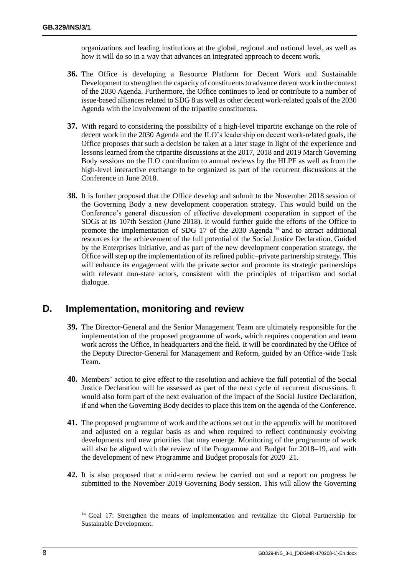organizations and leading institutions at the global, regional and national level, as well as how it will do so in a way that advances an integrated approach to decent work.

- **36.** The Office is developing a Resource Platform for Decent Work and Sustainable Development to strengthen the capacity of constituents to advance decent work in the context of the 2030 Agenda. Furthermore, the Office continues to lead or contribute to a number of issue-based alliances related to SDG 8 as well as other decent work-related goals of the 2030 Agenda with the involvement of the tripartite constituents.
- **37.** With regard to considering the possibility of a high-level tripartite exchange on the role of decent work in the 2030 Agenda and the ILO's leadership on decent work-related goals, the Office proposes that such a decision be taken at a later stage in light of the experience and lessons learned from the tripartite discussions at the 2017, 2018 and 2019 March Governing Body sessions on the ILO contribution to annual reviews by the HLPF as well as from the high-level interactive exchange to be organized as part of the recurrent discussions at the Conference in June 2018.
- **38.** It is further proposed that the Office develop and submit to the November 2018 session of the Governing Body a new development cooperation strategy. This would build on the Conference's general discussion of effective development cooperation in support of the SDGs at its 107th Session (June 2018). It would further guide the efforts of the Office to promote the implementation of SDG 17 of the 2030 Agenda<sup>14</sup> and to attract additional resources for the achievement of the full potential of the Social Justice Declaration. Guided by the Enterprises Initiative, and as part of the new development cooperation strategy, the Office will step up the implementation of its refined public–private partnership strategy. This will enhance its engagement with the private sector and promote its strategic partnerships with relevant non-state actors, consistent with the principles of tripartism and social dialogue.

# **D. Implementation, monitoring and review**

- **39.** The Director-General and the Senior Management Team are ultimately responsible for the implementation of the proposed programme of work, which requires cooperation and team work across the Office, in headquarters and the field. It will be coordinated by the Office of the Deputy Director-General for Management and Reform, guided by an Office-wide Task Team.
- **40.** Members' action to give effect to the resolution and achieve the full potential of the Social Justice Declaration will be assessed as part of the next cycle of recurrent discussions. It would also form part of the next evaluation of the impact of the Social Justice Declaration, if and when the Governing Body decides to place this item on the agenda of the Conference.
- **41.** The proposed programme of work and the actions set out in the appendix will be monitored and adjusted on a regular basis as and when required to reflect continuously evolving developments and new priorities that may emerge. Monitoring of the programme of work will also be aligned with the review of the Programme and Budget for 2018–19, and with the development of new Programme and Budget proposals for 2020–21.
- **42.** It is also proposed that a mid-term review be carried out and a report on progress be submitted to the November 2019 Governing Body session. This will allow the Governing

<sup>&</sup>lt;sup>14</sup> Goal 17: Strengthen the means of implementation and revitalize the Global Partnership for Sustainable Development.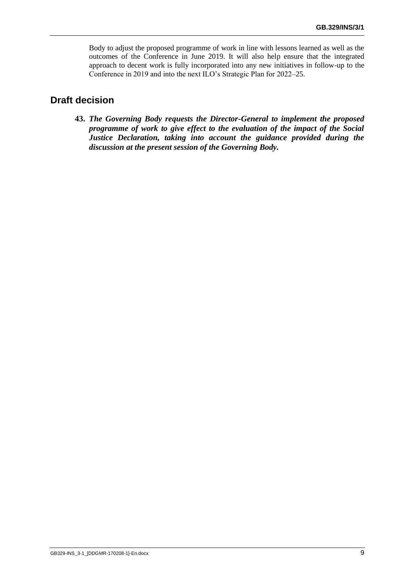Body to adjust the proposed programme of work in line with lessons learned as well as the outcomes of the Conference in June 2019. It will also help ensure that the integrated approach to decent work is fully incorporated into any new initiatives in follow-up to the Conference in 2019 and into the next ILO's Strategic Plan for 2022–25.

## **Draft decision**

**43.** *The Governing Body requests the Director-General to implement the proposed programme of work to give effect to the evaluation of the impact of the Social Justice Declaration, taking into account the guidance provided during the discussion at the present session of the Governing Body.*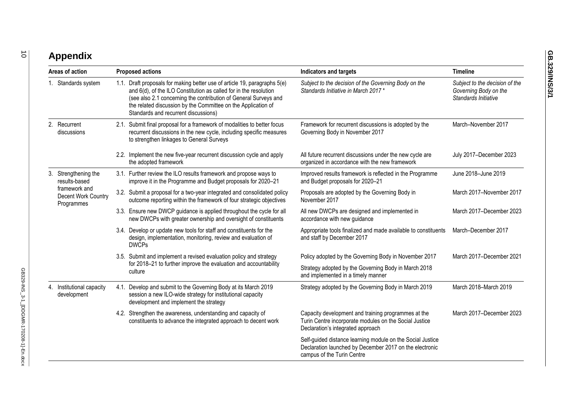# **Appendix**

| Areas of action |                                                                                             | <b>Proposed actions</b> |                                                                                                                                                                                                                                                                                                                             | Indicators and targets                                                                                                                              | <b>Timeline</b>                                                                 |
|-----------------|---------------------------------------------------------------------------------------------|-------------------------|-----------------------------------------------------------------------------------------------------------------------------------------------------------------------------------------------------------------------------------------------------------------------------------------------------------------------------|-----------------------------------------------------------------------------------------------------------------------------------------------------|---------------------------------------------------------------------------------|
|                 | 1. Standards system                                                                         |                         | 1.1. Draft proposals for making better use of article 19, paragraphs 5(e)<br>and 6(d), of the ILO Constitution as called for in the resolution<br>(see also 2.1 concerning the contribution of General Surveys and<br>the related discussion by the Committee on the Application of<br>Standards and recurrent discussions) | Subject to the decision of the Governing Body on the<br>Standards Initiative in March 2017*                                                         | Subject to the decision of the<br>Governing Body on the<br>Standards Initiative |
|                 | 2. Recurrent<br>discussions                                                                 |                         | 2.1. Submit final proposal for a framework of modalities to better focus<br>recurrent discussions in the new cycle, including specific measures<br>to strengthen linkages to General Surveys                                                                                                                                | Framework for recurrent discussions is adopted by the<br>Governing Body in November 2017                                                            | March-November 2017                                                             |
|                 |                                                                                             |                         | 2.2. Implement the new five-year recurrent discussion cycle and apply<br>the adopted framework                                                                                                                                                                                                                              | All future recurrent discussions under the new cycle are<br>organized in accordance with the new framework                                          | July 2017-December 2023                                                         |
|                 | 3. Strengthening the<br>results-based<br>framework and<br>Decent Work Country<br>Programmes |                         | 3.1. Further review the ILO results framework and propose ways to<br>improve it in the Programme and Budget proposals for 2020-21                                                                                                                                                                                           | Improved results framework is reflected in the Programme<br>and Budget proposals for 2020-21                                                        | June 2018-June 2019                                                             |
|                 |                                                                                             |                         | 3.2. Submit a proposal for a two-year integrated and consolidated policy<br>outcome reporting within the framework of four strategic objectives                                                                                                                                                                             | Proposals are adopted by the Governing Body in<br>November 2017                                                                                     | March 2017-November 2017                                                        |
|                 |                                                                                             |                         | 3.3. Ensure new DWCP guidance is applied throughout the cycle for all<br>new DWCPs with greater ownership and oversight of constituents                                                                                                                                                                                     | All new DWCPs are designed and implemented in<br>accordance with new guidance                                                                       | March 2017-December 2023                                                        |
|                 |                                                                                             |                         | 3.4. Develop or update new tools for staff and constituents for the<br>design, implementation, monitoring, review and evaluation of<br><b>DWCPs</b>                                                                                                                                                                         | Appropriate tools finalized and made available to constituents<br>and staff by December 2017                                                        | March-December 2017                                                             |
|                 |                                                                                             |                         | 3.5. Submit and implement a revised evaluation policy and strategy<br>for 2018-21 to further improve the evaluation and accountability<br>culture                                                                                                                                                                           | Policy adopted by the Governing Body in November 2017                                                                                               | March 2017-December 2021                                                        |
|                 |                                                                                             |                         |                                                                                                                                                                                                                                                                                                                             | Strategy adopted by the Governing Body in March 2018<br>and implemented in a timely manner                                                          |                                                                                 |
|                 | 4. Institutional capacity<br>development                                                    |                         | 4.1. Develop and submit to the Governing Body at its March 2019<br>session a new ILO-wide strategy for institutional capacity<br>development and implement the strategy                                                                                                                                                     | Strategy adopted by the Governing Body in March 2019                                                                                                | March 2018-March 2019                                                           |
|                 |                                                                                             |                         | 4.2. Strengthen the awareness, understanding and capacity of<br>constituents to advance the integrated approach to decent work                                                                                                                                                                                              | Capacity development and training programmes at the<br>Turin Centre incorporate modules on the Social Justice<br>Declaration's integrated approach  | March 2017-December 2023                                                        |
|                 |                                                                                             |                         |                                                                                                                                                                                                                                                                                                                             | Self-guided distance learning module on the Social Justice<br>Declaration launched by December 2017 on the electronic<br>campus of the Turin Centre |                                                                                 |